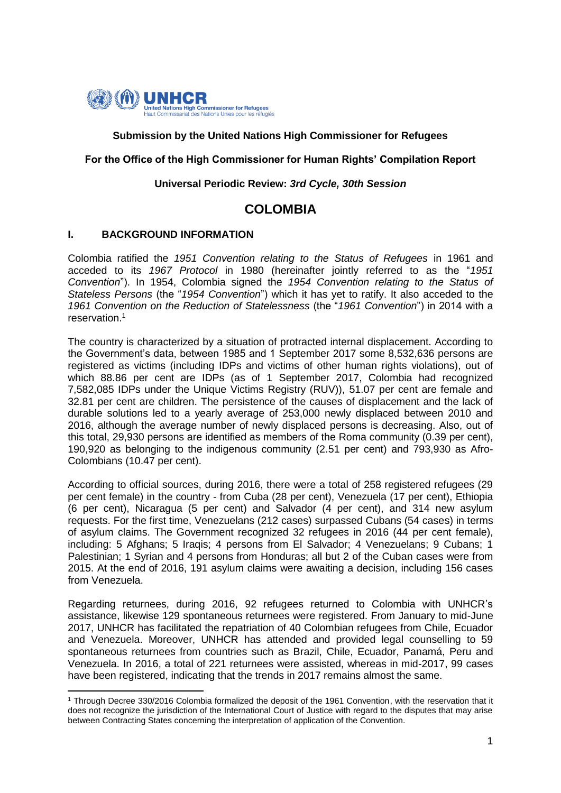

# **Submission by the United Nations High Commissioner for Refugees**

# **For the Office of the High Commissioner for Human Rights' Compilation Report**

### **Universal Periodic Review:** *3rd Cycle, 30th Session*

# **COLOMBIA**

### **I. BACKGROUND INFORMATION**

**.** 

Colombia ratified the *1951 Convention relating to the Status of Refugees* in 1961 and acceded to its *1967 Protocol* in 1980 (hereinafter jointly referred to as the "*1951 Convention*"). In 1954, Colombia signed the *1954 Convention relating to the Status of Stateless Persons* (the "*1954 Convention*") which it has yet to ratify. It also acceded to the *1961 Convention on the Reduction of Statelessness* (the "*1961 Convention*") in 2014 with a reservation. 1

The country is characterized by a situation of protracted internal displacement. According to the Government's data, between 1985 and 1 September 2017 some 8,532,636 persons are registered as victims (including IDPs and victims of other human rights violations), out of which 88.86 per cent are IDPs (as of 1 September 2017, Colombia had recognized 7,582,085 IDPs under the Unique Victims Registry (RUV)), 51.07 per cent are female and 32.81 per cent are children. The persistence of the causes of displacement and the lack of durable solutions led to a yearly average of 253,000 newly displaced between 2010 and 2016, although the average number of newly displaced persons is decreasing. Also, out of this total, 29,930 persons are identified as members of the Roma community (0.39 per cent), 190,920 as belonging to the indigenous community (2.51 per cent) and 793,930 as Afro-Colombians (10.47 per cent).

According to official sources, during 2016, there were a total of 258 registered refugees (29 per cent female) in the country - from Cuba (28 per cent), Venezuela (17 per cent), Ethiopia (6 per cent), Nicaragua (5 per cent) and Salvador (4 per cent), and 314 new asylum requests. For the first time, Venezuelans (212 cases) surpassed Cubans (54 cases) in terms of asylum claims. The Government recognized 32 refugees in 2016 (44 per cent female), including: 5 Afghans; 5 Iraqis; 4 persons from El Salvador; 4 Venezuelans; 9 Cubans; 1 Palestinian; 1 Syrian and 4 persons from Honduras; all but 2 of the Cuban cases were from 2015. At the end of 2016, 191 asylum claims were awaiting a decision, including 156 cases from Venezuela.

Regarding returnees, during 2016, 92 refugees returned to Colombia with UNHCR's assistance, likewise 129 spontaneous returnees were registered. From January to mid-June 2017, UNHCR has facilitated the repatriation of 40 Colombian refugees from Chile, Ecuador and Venezuela. Moreover, UNHCR has attended and provided legal counselling to 59 spontaneous returnees from countries such as Brazil, Chile, Ecuador, Panamá, Peru and Venezuela. In 2016, a total of 221 returnees were assisted, whereas in mid-2017, 99 cases have been registered, indicating that the trends in 2017 remains almost the same.

<sup>1</sup> Through Decree 330/2016 Colombia formalized the deposit of the 1961 Convention, with the reservation that it does not recognize the jurisdiction of the International Court of Justice with regard to the disputes that may arise between Contracting States concerning the interpretation of application of the Convention.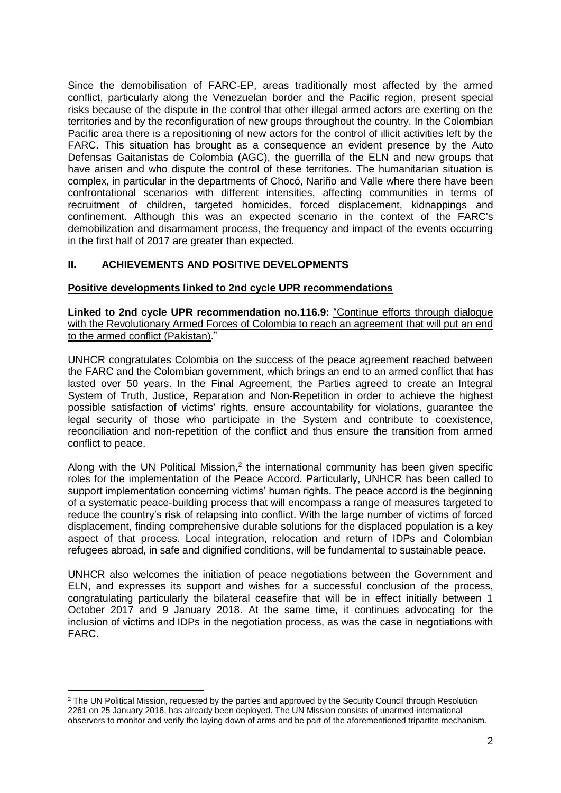Since the demobilisation of FARC-EP, areas traditionally most affected by the armed conflict, particularly along the Venezuelan border and the Pacific region, present special risks because of the dispute in the control that other illegal armed actors are exerting on the territories and by the reconfiguration of new groups throughout the country. In the Colombian Pacific area there is a repositioning of new actors for the control of illicit activities left by the FARC. This situation has brought as a consequence an evident presence by the Auto Defensas Gaitanistas de Colombia (AGC), the guerrilla of the ELN and new groups that have arisen and who dispute the control of these territories. The humanitarian situation is complex, in particular in the departments of Chocó, Nariño and Valle where there have been confrontational scenarios with different intensities, affecting communities in terms of recruitment of children, targeted homicides, forced displacement, kidnappings and confinement. Although this was an expected scenario in the context of the FARC's demobilization and disarmament process, the frequency and impact of the events occurring in the first half of 2017 are greater than expected.

# **II. ACHIEVEMENTS AND POSITIVE DEVELOPMENTS**

# **Positive developments linked to 2nd cycle UPR recommendations**

**Linked to 2nd cycle UPR recommendation no.116.9:** "Continue efforts through dialogue with the Revolutionary Armed Forces of Colombia to reach an agreement that will put an end to the armed conflict (Pakistan)."

UNHCR congratulates Colombia on the success of the peace agreement reached between the FARC and the Colombian government, which brings an end to an armed conflict that has lasted over 50 years. In the Final Agreement, the Parties agreed to create an Integral System of Truth, Justice, Reparation and Non-Repetition in order to achieve the highest possible satisfaction of victims' rights, ensure accountability for violations, guarantee the legal security of those who participate in the System and contribute to coexistence, reconciliation and non-repetition of the conflict and thus ensure the transition from armed conflict to peace.

Along with the UN Political Mission, $<sup>2</sup>$  the international community has been given specific</sup> roles for the implementation of the Peace Accord. Particularly, UNHCR has been called to support implementation concerning victims' human rights. The peace accord is the beginning of a systematic peace-building process that will encompass a range of measures targeted to reduce the country's risk of relapsing into conflict. With the large number of victims of forced displacement, finding comprehensive durable solutions for the displaced population is a key aspect of that process. Local integration, relocation and return of IDPs and Colombian refugees abroad, in safe and dignified conditions, will be fundamental to sustainable peace.

UNHCR also welcomes the initiation of peace negotiations between the Government and ELN, and expresses its support and wishes for a successful conclusion of the process, congratulating particularly the bilateral ceasefire that will be in effect initially between 1 October 2017 and 9 January 2018. At the same time, it continues advocating for the inclusion of victims and IDPs in the negotiation process, as was the case in negotiations with FARC.

<sup>&</sup>lt;sup>2</sup> The UN Political Mission, requested by the parties and approved by the Security Council through Resolution 2261 on 25 January 2016, has already been deployed. The UN Mission consists of unarmed international observers to monitor and verify the laying down of arms and be part of the aforementioned tripartite mechanism.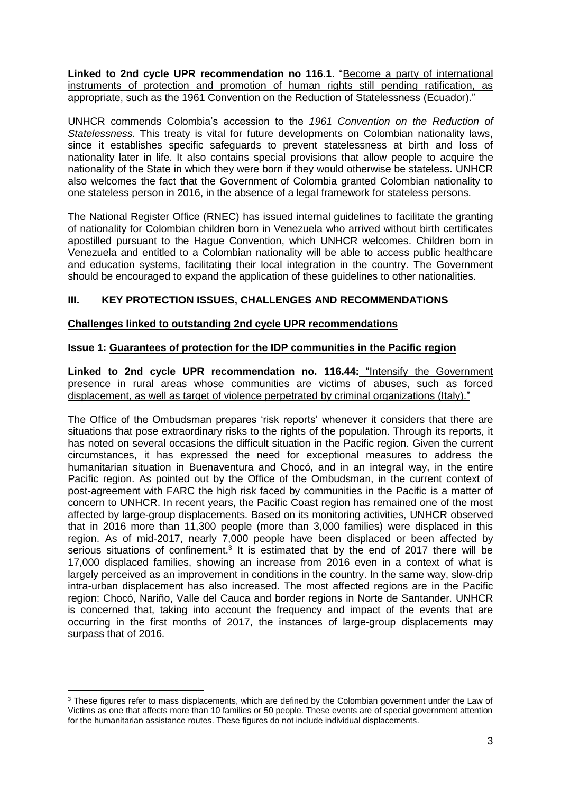**Linked to 2nd cycle UPR recommendation no 116.1**. "Become a party of international instruments of protection and promotion of human rights still pending ratification, as appropriate, such as the 1961 Convention on the Reduction of Statelessness (Ecuador)."

UNHCR commends Colombia's accession to the *1961 Convention on the Reduction of Statelessness*. This treaty is vital for future developments on Colombian nationality laws, since it establishes specific safeguards to prevent statelessness at birth and loss of nationality later in life. It also contains special provisions that allow people to acquire the nationality of the State in which they were born if they would otherwise be stateless. UNHCR also welcomes the fact that the Government of Colombia granted Colombian nationality to one stateless person in 2016, in the absence of a legal framework for stateless persons.

The National Register Office (RNEC) has issued internal guidelines to facilitate the granting of nationality for Colombian children born in Venezuela who arrived without birth certificates apostilled pursuant to the Hague Convention, which UNHCR welcomes. Children born in Venezuela and entitled to a Colombian nationality will be able to access public healthcare and education systems, facilitating their local integration in the country. The Government should be encouraged to expand the application of these guidelines to other nationalities.

# **III. KEY PROTECTION ISSUES, CHALLENGES AND RECOMMENDATIONS**

### **Challenges linked to outstanding 2nd cycle UPR recommendations**

### **Issue 1: Guarantees of protection for the IDP communities in the Pacific region**

**Linked to 2nd cycle UPR recommendation no. 116.44:** "Intensify the Government presence in rural areas whose communities are victims of abuses, such as forced displacement, as well as target of violence perpetrated by criminal organizations (Italy)."

The Office of the Ombudsman prepares 'risk reports' whenever it considers that there are situations that pose extraordinary risks to the rights of the population. Through its reports, it has noted on several occasions the difficult situation in the Pacific region. Given the current circumstances, it has expressed the need for exceptional measures to address the humanitarian situation in Buenaventura and Chocó, and in an integral way, in the entire Pacific region. As pointed out by the Office of the Ombudsman, in the current context of post-agreement with FARC the high risk faced by communities in the Pacific is a matter of concern to UNHCR. In recent years, the Pacific Coast region has remained one of the most affected by large-group displacements. Based on its monitoring activities, UNHCR observed that in 2016 more than 11,300 people (more than 3,000 families) were displaced in this region. As of mid-2017, nearly 7,000 people have been displaced or been affected by serious situations of confinement.<sup>3</sup> It is estimated that by the end of 2017 there will be 17,000 displaced families, showing an increase from 2016 even in a context of what is largely perceived as an improvement in conditions in the country. In the same way, slow-drip intra-urban displacement has also increased. The most affected regions are in the Pacific region: Chocó, Nariño, Valle del Cauca and border regions in Norte de Santander. UNHCR is concerned that, taking into account the frequency and impact of the events that are occurring in the first months of 2017, the instances of large-group displacements may surpass that of 2016.

<sup>&</sup>lt;sup>3</sup> These figures refer to mass displacements, which are defined by the Colombian government under the Law of Victims as one that affects more than 10 families or 50 people. These events are of special government attention for the humanitarian assistance routes. These figures do not include individual displacements.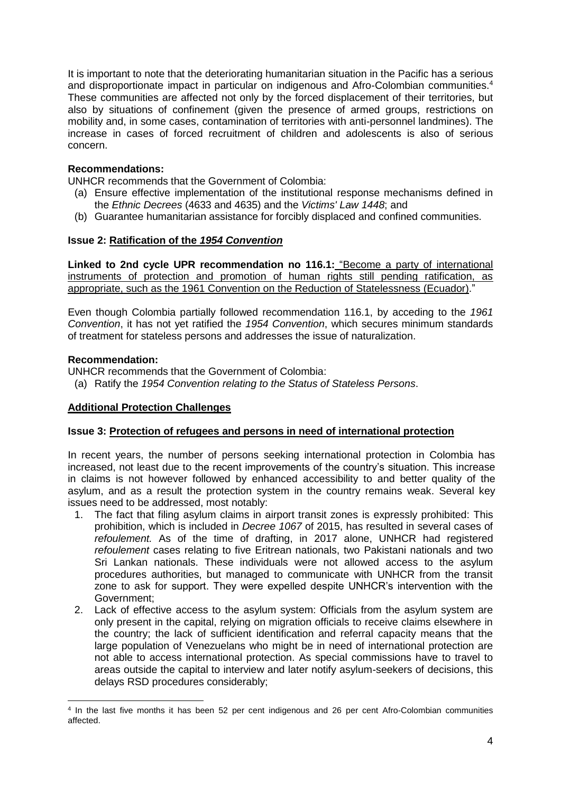It is important to note that the deteriorating humanitarian situation in the Pacific has a serious and disproportionate impact in particular on indigenous and Afro-Colombian communities. 4 These communities are affected not only by the forced displacement of their territories, but also by situations of confinement (given the presence of armed groups, restrictions on mobility and, in some cases, contamination of territories with anti-personnel landmines). The increase in cases of forced recruitment of children and adolescents is also of serious concern.

# **Recommendations:**

UNHCR recommends that the Government of Colombia:

- (a) Ensure effective implementation of the institutional response mechanisms defined in the *Ethnic Decrees* (4633 and 4635) and the *Victims' Law 1448*; and
- (b) Guarantee humanitarian assistance for forcibly displaced and confined communities.

# **Issue 2: Ratification of the** *1954 Convention*

**Linked to 2nd cycle UPR recommendation no 116.1:** "Become a party of international instruments of protection and promotion of human rights still pending ratification, as appropriate, such as the 1961 Convention on the Reduction of Statelessness (Ecuador)."

Even though Colombia partially followed recommendation 116.1, by acceding to the *1961 Convention*, it has not yet ratified the *1954 Convention*, which secures minimum standards of treatment for stateless persons and addresses the issue of naturalization.

### **Recommendation:**

1

UNHCR recommends that the Government of Colombia:

(a) Ratify the *1954 Convention relating to the Status of Stateless Persons*.

# **Additional Protection Challenges**

# **Issue 3: Protection of refugees and persons in need of international protection**

In recent years, the number of persons seeking international protection in Colombia has increased, not least due to the recent improvements of the country's situation. This increase in claims is not however followed by enhanced accessibility to and better quality of the asylum, and as a result the protection system in the country remains weak. Several key issues need to be addressed, most notably:

- 1. The fact that filing asylum claims in airport transit zones is expressly prohibited: This prohibition, which is included in *Decree 1067* of 2015, has resulted in several cases of *refoulement.* As of the time of drafting, in 2017 alone, UNHCR had registered *refoulement* cases relating to five Eritrean nationals, two Pakistani nationals and two Sri Lankan nationals. These individuals were not allowed access to the asylum procedures authorities, but managed to communicate with UNHCR from the transit zone to ask for support. They were expelled despite UNHCR's intervention with the Government;
- 2. Lack of effective access to the asylum system: Officials from the asylum system are only present in the capital, relying on migration officials to receive claims elsewhere in the country; the lack of sufficient identification and referral capacity means that the large population of Venezuelans who might be in need of international protection are not able to access international protection. As special commissions have to travel to areas outside the capital to interview and later notify asylum-seekers of decisions, this delays RSD procedures considerably;

<sup>4</sup> In the last five months it has been 52 per cent indigenous and 26 per cent Afro-Colombian communities affected.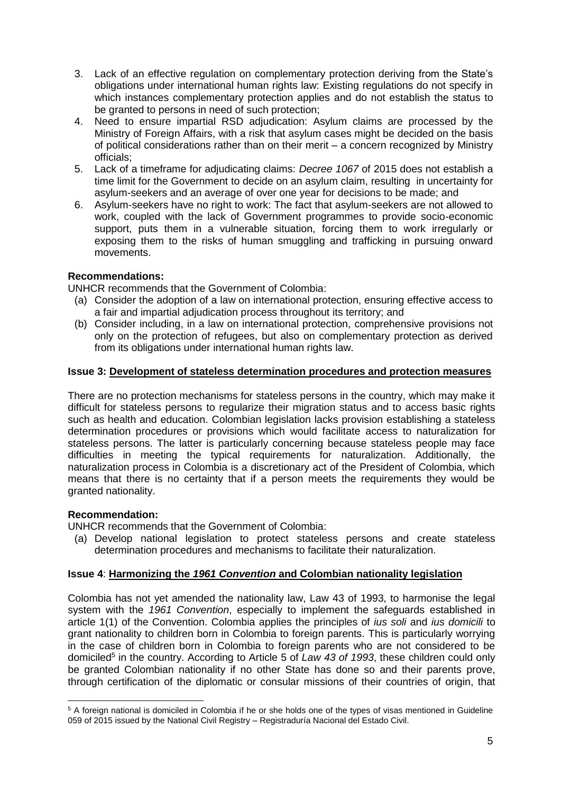- 3. Lack of an effective regulation on complementary protection deriving from the State's obligations under international human rights law: Existing regulations do not specify in which instances complementary protection applies and do not establish the status to be granted to persons in need of such protection;
- 4. Need to ensure impartial RSD adjudication: Asylum claims are processed by the Ministry of Foreign Affairs, with a risk that asylum cases might be decided on the basis of political considerations rather than on their merit – a concern recognized by Ministry officials;
- 5. Lack of a timeframe for adjudicating claims: *Decree 1067* of 2015 does not establish a time limit for the Government to decide on an asylum claim, resulting in uncertainty for asylum-seekers and an average of over one year for decisions to be made; and
- 6. Asylum-seekers have no right to work: The fact that asylum-seekers are not allowed to work, coupled with the lack of Government programmes to provide socio-economic support, puts them in a vulnerable situation, forcing them to work irregularly or exposing them to the risks of human smuggling and trafficking in pursuing onward movements.

# **Recommendations:**

UNHCR recommends that the Government of Colombia:

- (a) Consider the adoption of a law on international protection, ensuring effective access to a fair and impartial adjudication process throughout its territory; and
- (b) Consider including, in a law on international protection, comprehensive provisions not only on the protection of refugees, but also on complementary protection as derived from its obligations under international human rights law.

# **Issue 3: Development of stateless determination procedures and protection measures**

There are no protection mechanisms for stateless persons in the country, which may make it difficult for stateless persons to regularize their migration status and to access basic rights such as health and education. Colombian legislation lacks provision establishing a stateless determination procedures or provisions which would facilitate access to naturalization for stateless persons. The latter is particularly concerning because stateless people may face difficulties in meeting the typical requirements for naturalization. Additionally, the naturalization process in Colombia is a discretionary act of the President of Colombia, which means that there is no certainty that if a person meets the requirements they would be granted nationality.

# **Recommendation:**

UNHCR recommends that the Government of Colombia:

(a) Develop national legislation to protect stateless persons and create stateless determination procedures and mechanisms to facilitate their naturalization.

# **Issue 4**: **Harmonizing the** *1961 Convention* **and Colombian nationality legislation**

Colombia has not yet amended the nationality law, Law 43 of 1993, to harmonise the legal system with the *1961 Convention*, especially to implement the safeguards established in article 1(1) of the Convention. Colombia applies the principles of *ius soli* and *ius domicili* to grant nationality to children born in Colombia to foreign parents. This is particularly worrying in the case of children born in Colombia to foreign parents who are not considered to be domiciled<sup>5</sup> in the country. According to Article 5 of *Law 43 of 1993*, these children could only be granted Colombian nationality if no other State has done so and their parents prove, through certification of the diplomatic or consular missions of their countries of origin, that

<sup>1</sup> <sup>5</sup> A foreign national is domiciled in Colombia if he or she holds one of the types of visas mentioned in Guideline 059 of 2015 issued by the National Civil Registry – Registraduría Nacional del Estado Civil.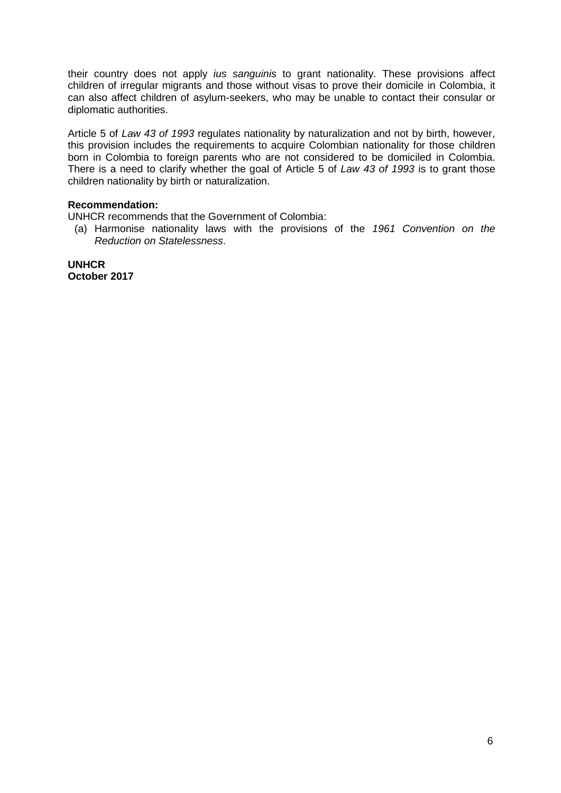their country does not apply *ius sanguinis* to grant nationality. These provisions affect children of irregular migrants and those without visas to prove their domicile in Colombia, it can also affect children of asylum-seekers, who may be unable to contact their consular or diplomatic authorities.

Article 5 of *Law 43 of 1993* regulates nationality by naturalization and not by birth, however, this provision includes the requirements to acquire Colombian nationality for those children born in Colombia to foreign parents who are not considered to be domiciled in Colombia. There is a need to clarify whether the goal of Article 5 of *Law 43 of 1993* is to grant those children nationality by birth or naturalization.

# **Recommendation:**

UNHCR recommends that the Government of Colombia:

(a) Harmonise nationality laws with the provisions of the *1961 Convention on the Reduction on Statelessness*.

**UNHCR October 2017**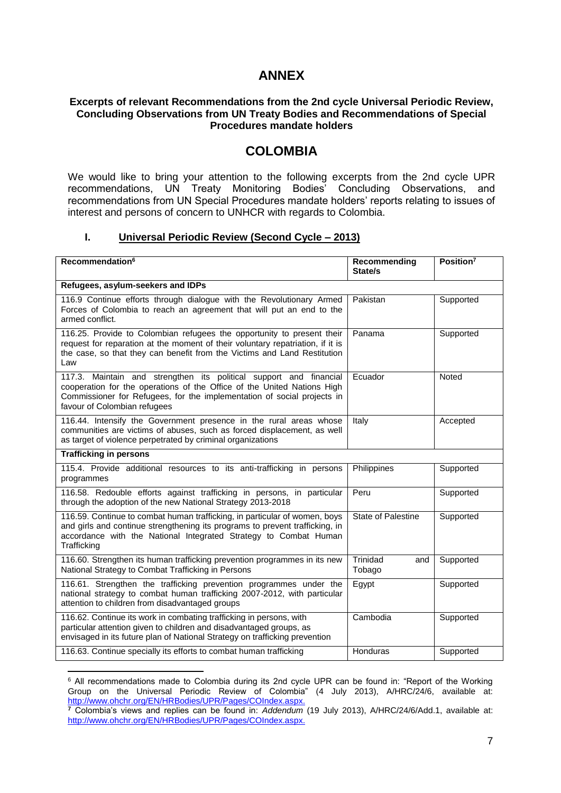# **ANNEX**

### **Excerpts of relevant Recommendations from the 2nd cycle Universal Periodic Review, Concluding Observations from UN Treaty Bodies and Recommendations of Special Procedures mandate holders**

# **COLOMBIA**

We would like to bring your attention to the following excerpts from the 2nd cycle UPR recommendations, UN Treaty Monitoring Bodies' Concluding Observations, and recommendations from UN Special Procedures mandate holders' reports relating to issues of interest and persons of concern to UNHCR with regards to Colombia.

### **I. Universal Periodic Review (Second Cycle – 2013)**

| Recommendation <sup>6</sup>                                                                                                                                                                                                                              | Recommending<br>State/s   | Position <sup>7</sup> |
|----------------------------------------------------------------------------------------------------------------------------------------------------------------------------------------------------------------------------------------------------------|---------------------------|-----------------------|
| Refugees, asylum-seekers and IDPs                                                                                                                                                                                                                        |                           |                       |
| 116.9 Continue efforts through dialogue with the Revolutionary Armed<br>Forces of Colombia to reach an agreement that will put an end to the<br>armed conflict.                                                                                          | Pakistan                  | Supported             |
| 116.25. Provide to Colombian refugees the opportunity to present their<br>request for reparation at the moment of their voluntary repatriation, if it is<br>the case, so that they can benefit from the Victims and Land Restitution<br>Law              | Panama                    | Supported             |
| 117.3. Maintain and strengthen its political support and financial<br>cooperation for the operations of the Office of the United Nations High<br>Commissioner for Refugees, for the implementation of social projects in<br>favour of Colombian refugees | Ecuador                   | Noted                 |
| 116.44. Intensify the Government presence in the rural areas whose<br>communities are victims of abuses, such as forced displacement, as well<br>as target of violence perpetrated by criminal organizations                                             | Italy                     | Accepted              |
| <b>Trafficking in persons</b>                                                                                                                                                                                                                            |                           |                       |
| 115.4. Provide additional resources to its anti-trafficking in persons<br>programmes                                                                                                                                                                     | Philippines               | Supported             |
| 116.58. Redouble efforts against trafficking in persons, in particular<br>through the adoption of the new National Strategy 2013-2018                                                                                                                    | Peru                      | Supported             |
| 116.59. Continue to combat human trafficking, in particular of women, boys<br>and girls and continue strengthening its programs to prevent trafficking, in<br>accordance with the National Integrated Strategy to Combat Human<br>Trafficking            | <b>State of Palestine</b> | Supported             |
| 116.60. Strengthen its human trafficking prevention programmes in its new<br>National Strategy to Combat Trafficking in Persons                                                                                                                          | Trinidad<br>and<br>Tobago | Supported             |
| 116.61. Strengthen the trafficking prevention programmes under the<br>national strategy to combat human trafficking 2007-2012, with particular<br>attention to children from disadvantaged groups                                                        | Egypt                     | Supported             |
| 116.62. Continue its work in combating trafficking in persons, with<br>particular attention given to children and disadvantaged groups, as<br>envisaged in its future plan of National Strategy on trafficking prevention                                | Cambodia                  | Supported             |
| 116.63. Continue specially its efforts to combat human trafficking                                                                                                                                                                                       | Honduras                  | Supported             |

**<sup>.</sup>** <sup>6</sup> All recommendations made to Colombia during its 2nd cycle UPR can be found in: "Report of the Working Group on the Universal Periodic Review of Colombia" (4 July 2013), A/HRC/24/6, available at: [http://www.ohchr.org/EN/HRBodies/UPR/Pages/COIndex.aspx.](http://www.ohchr.org/EN/HRBodies/UPR/Pages/COIndex.aspx)

**<sup>7</sup>** Colombia's views and replies can be found in: *Addendum* (19 July 2013), A/HRC/24/6/Add.1, available at: [http://www.ohchr.org/EN/HRBodies/UPR/Pages/COIndex.aspx.](http://www.ohchr.org/EN/HRBodies/UPR/Pages/COIndex.aspx)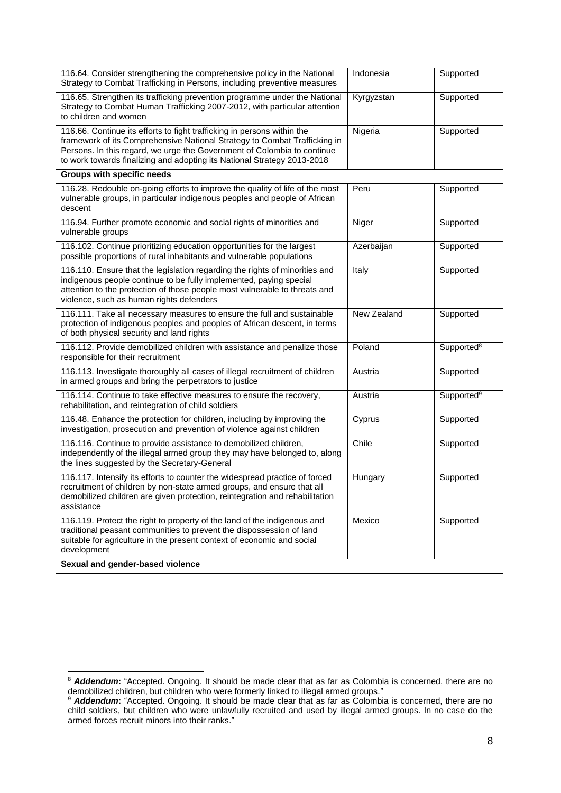| 116.64. Consider strengthening the comprehensive policy in the National<br>Strategy to Combat Trafficking in Persons, including preventive measures                                                                                                                                                        | Indonesia   | Supported              |
|------------------------------------------------------------------------------------------------------------------------------------------------------------------------------------------------------------------------------------------------------------------------------------------------------------|-------------|------------------------|
| 116.65. Strengthen its trafficking prevention programme under the National<br>Strategy to Combat Human Trafficking 2007-2012, with particular attention<br>to children and women                                                                                                                           | Kyrgyzstan  | Supported              |
| 116.66. Continue its efforts to fight trafficking in persons within the<br>framework of its Comprehensive National Strategy to Combat Trafficking in<br>Persons. In this regard, we urge the Government of Colombia to continue<br>to work towards finalizing and adopting its National Strategy 2013-2018 | Nigeria     | Supported              |
| <b>Groups with specific needs</b>                                                                                                                                                                                                                                                                          |             |                        |
| 116.28. Redouble on-going efforts to improve the quality of life of the most<br>vulnerable groups, in particular indigenous peoples and people of African<br>descent                                                                                                                                       | Peru        | Supported              |
| 116.94. Further promote economic and social rights of minorities and<br>vulnerable groups                                                                                                                                                                                                                  | Niger       | Supported              |
| 116.102. Continue prioritizing education opportunities for the largest<br>possible proportions of rural inhabitants and vulnerable populations                                                                                                                                                             | Azerbaijan  | Supported              |
| 116.110. Ensure that the legislation regarding the rights of minorities and<br>indigenous people continue to be fully implemented, paying special<br>attention to the protection of those people most vulnerable to threats and<br>violence, such as human rights defenders                                | Italy       | Supported              |
| 116.111. Take all necessary measures to ensure the full and sustainable<br>protection of indigenous peoples and peoples of African descent, in terms<br>of both physical security and land rights                                                                                                          | New Zealand | Supported              |
| 116.112. Provide demobilized children with assistance and penalize those<br>responsible for their recruitment                                                                                                                                                                                              | Poland      | Supported <sup>8</sup> |
| 116.113. Investigate thoroughly all cases of illegal recruitment of children<br>in armed groups and bring the perpetrators to justice                                                                                                                                                                      | Austria     | Supported              |
| 116.114. Continue to take effective measures to ensure the recovery,<br>rehabilitation, and reintegration of child soldiers                                                                                                                                                                                | Austria     | Supported <sup>9</sup> |
| 116.48. Enhance the protection for children, including by improving the<br>investigation, prosecution and prevention of violence against children                                                                                                                                                          | Cyprus      | Supported              |
| 116.116. Continue to provide assistance to demobilized children,<br>independently of the illegal armed group they may have belonged to, along<br>the lines suggested by the Secretary-General                                                                                                              | Chile       | Supported              |
| 116.117. Intensify its efforts to counter the widespread practice of forced<br>recruitment of children by non-state armed groups, and ensure that all<br>demobilized children are given protection, reintegration and rehabilitation<br>assistance                                                         | Hungary     | Supported              |
| 116.119. Protect the right to property of the land of the indigenous and<br>traditional peasant communities to prevent the dispossession of land<br>suitable for agriculture in the present context of economic and social<br>development                                                                  | Mexico      | Supported              |
| Sexual and gender-based violence                                                                                                                                                                                                                                                                           |             |                        |

<sup>8</sup> *Addendum***:** "Accepted. Ongoing. It should be made clear that as far as Colombia is concerned, there are no demobilized children, but children who were formerly linked to illegal armed groups."

<sup>9</sup> *Addendum***:** "Accepted. Ongoing. It should be made clear that as far as Colombia is concerned, there are no child soldiers, but children who were unlawfully recruited and used by illegal armed groups. In no case do the armed forces recruit minors into their ranks."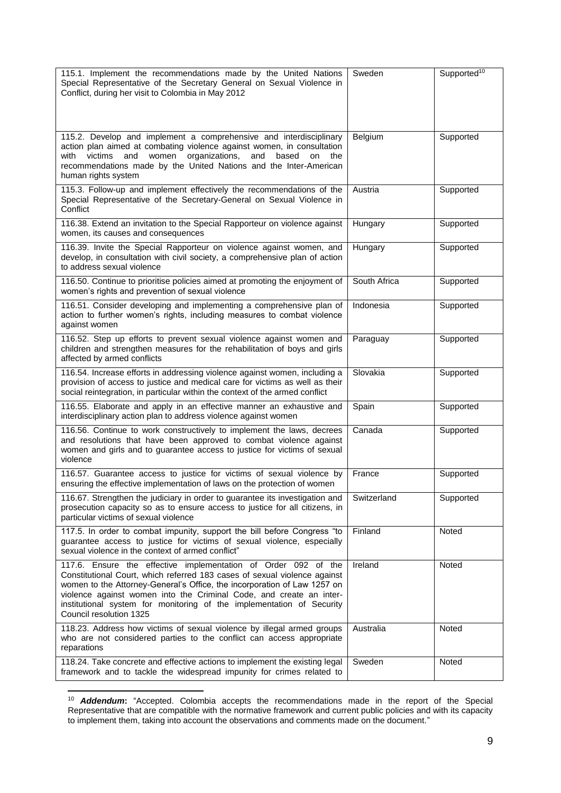| 115.1. Implement the recommendations made by the United Nations<br>Special Representative of the Secretary General on Sexual Violence in<br>Conflict, during her visit to Colombia in May 2012                                                                                                                                                                                                     | Sweden       | Supported <sup>10</sup> |
|----------------------------------------------------------------------------------------------------------------------------------------------------------------------------------------------------------------------------------------------------------------------------------------------------------------------------------------------------------------------------------------------------|--------------|-------------------------|
| 115.2. Develop and implement a comprehensive and interdisciplinary<br>action plan aimed at combating violence against women, in consultation<br>victims<br>and<br>women<br>organizations,<br>and<br>based<br>with<br>on<br>the<br>recommendations made by the United Nations and the Inter-American<br>human rights system                                                                         | Belgium      | Supported               |
| 115.3. Follow-up and implement effectively the recommendations of the<br>Special Representative of the Secretary-General on Sexual Violence in<br>Conflict                                                                                                                                                                                                                                         | Austria      | Supported               |
| 116.38. Extend an invitation to the Special Rapporteur on violence against<br>women, its causes and consequences                                                                                                                                                                                                                                                                                   | Hungary      | Supported               |
| 116.39. Invite the Special Rapporteur on violence against women, and<br>develop, in consultation with civil society, a comprehensive plan of action<br>to address sexual violence                                                                                                                                                                                                                  | Hungary      | Supported               |
| 116.50. Continue to prioritise policies aimed at promoting the enjoyment of<br>women's rights and prevention of sexual violence                                                                                                                                                                                                                                                                    | South Africa | Supported               |
| 116.51. Consider developing and implementing a comprehensive plan of<br>action to further women's rights, including measures to combat violence<br>against women                                                                                                                                                                                                                                   | Indonesia    | Supported               |
| 116.52. Step up efforts to prevent sexual violence against women and<br>children and strengthen measures for the rehabilitation of boys and girls<br>affected by armed conflicts                                                                                                                                                                                                                   | Paraguay     | Supported               |
| 116.54. Increase efforts in addressing violence against women, including a<br>provision of access to justice and medical care for victims as well as their<br>social reintegration, in particular within the context of the armed conflict                                                                                                                                                         | Slovakia     | Supported               |
| 116.55. Elaborate and apply in an effective manner an exhaustive and<br>interdisciplinary action plan to address violence against women                                                                                                                                                                                                                                                            | Spain        | Supported               |
| 116.56. Continue to work constructively to implement the laws, decrees<br>and resolutions that have been approved to combat violence against<br>women and girls and to guarantee access to justice for victims of sexual<br>violence                                                                                                                                                               | Canada       | Supported               |
| 116.57. Guarantee access to justice for victims of sexual violence by<br>ensuring the effective implementation of laws on the protection of women                                                                                                                                                                                                                                                  | France       | Supported               |
| 116.67. Strengthen the judiciary in order to guarantee its investigation and<br>prosecution capacity so as to ensure access to justice for all citizens, in<br>particular victims of sexual violence                                                                                                                                                                                               | Switzerland  | Supported               |
| 117.5. In order to combat impunity, support the bill before Congress "to<br>guarantee access to justice for victims of sexual violence, especially<br>sexual violence in the context of armed conflict"                                                                                                                                                                                            | Finland      | Noted                   |
| 117.6. Ensure the effective implementation of Order 092 of the<br>Constitutional Court, which referred 183 cases of sexual violence against<br>women to the Attorney-General's Office, the incorporation of Law 1257 on<br>violence against women into the Criminal Code, and create an inter-<br>institutional system for monitoring of the implementation of Security<br>Council resolution 1325 | Ireland      | Noted                   |
| 118.23. Address how victims of sexual violence by illegal armed groups<br>who are not considered parties to the conflict can access appropriate<br>reparations                                                                                                                                                                                                                                     | Australia    | Noted                   |
| 118.24. Take concrete and effective actions to implement the existing legal<br>framework and to tackle the widespread impunity for crimes related to                                                                                                                                                                                                                                               | Sweden       | Noted                   |

<sup>10</sup> *Addendum***:** "Accepted. Colombia accepts the recommendations made in the report of the Special Representative that are compatible with the normative framework and current public policies and with its capacity to implement them, taking into account the observations and comments made on the document."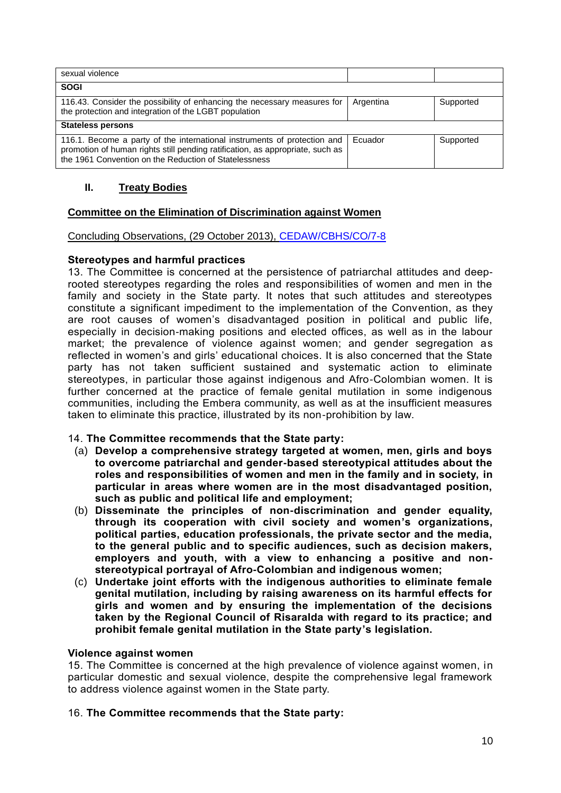| sexual violence                                                                                                                                                                                                    |           |           |  |  |
|--------------------------------------------------------------------------------------------------------------------------------------------------------------------------------------------------------------------|-----------|-----------|--|--|
| <b>SOGI</b>                                                                                                                                                                                                        |           |           |  |  |
| 116.43. Consider the possibility of enhancing the necessary measures for<br>the protection and integration of the LGBT population                                                                                  | Argentina | Supported |  |  |
| <b>Stateless persons</b>                                                                                                                                                                                           |           |           |  |  |
| 116.1. Become a party of the international instruments of protection and<br>promotion of human rights still pending ratification, as appropriate, such as<br>the 1961 Convention on the Reduction of Statelessness | Ecuador   | Supported |  |  |

# **II. Treaty Bodies**

# **Committee on the Elimination of Discrimination against Women**

# Concluding Observations, (29 October 2013), [CEDAW/CBHS/CO/7-8](http://tbinternet.ohchr.org/_layouts/treatybodyexternal/Download.aspx?symbolno=CEDAW%2fC%2fCOL%2fCO%2f7-8&Lang=en)

# **Stereotypes and harmful practices**

13. The Committee is concerned at the persistence of patriarchal attitudes and deeprooted stereotypes regarding the roles and responsibilities of women and men in the family and society in the State party. It notes that such attitudes and stereotypes constitute a significant impediment to the implementation of the Convention, as they are root causes of women's disadvantaged position in political and public life, especially in decision-making positions and elected offices, as well as in the labour market; the prevalence of violence against women; and gender segregation as reflected in women's and girls' educational choices. It is also concerned that the State party has not taken sufficient sustained and systematic action to eliminate stereotypes, in particular those against indigenous and Afro-Colombian women. It is further concerned at the practice of female genital mutilation in some indigenous communities, including the Embera community, as well as at the insufficient measures taken to eliminate this practice, illustrated by its non-prohibition by law.

# 14. **The Committee recommends that the State party:**

- (a) **Develop a comprehensive strategy targeted at women, men, girls and boys to overcome patriarchal and gender-based stereotypical attitudes about the roles and responsibilities of women and men in the family and in society, in particular in areas where women are in the most disadvantaged position, such as public and political life and employment;**
- (b) **Disseminate the principles of non-discrimination and gender equality, through its cooperation with civil society and women's organizations, political parties, education professionals, the private sector and the media, to the general public and to specific audiences, such as decision makers, employers and youth, with a view to enhancing a positive and nonstereotypical portrayal of Afro-Colombian and indigenous women;**
- (c) **Undertake joint efforts with the indigenous authorities to eliminate female genital mutilation, including by raising awareness on its harmful effects for girls and women and by ensuring the implementation of the decisions taken by the Regional Council of Risaralda with regard to its practice; and prohibit female genital mutilation in the State party's legislation.**

# **Violence against women**

15. The Committee is concerned at the high prevalence of violence against women, in particular domestic and sexual violence, despite the comprehensive legal framework to address violence against women in the State party.

# 16. **The Committee recommends that the State party:**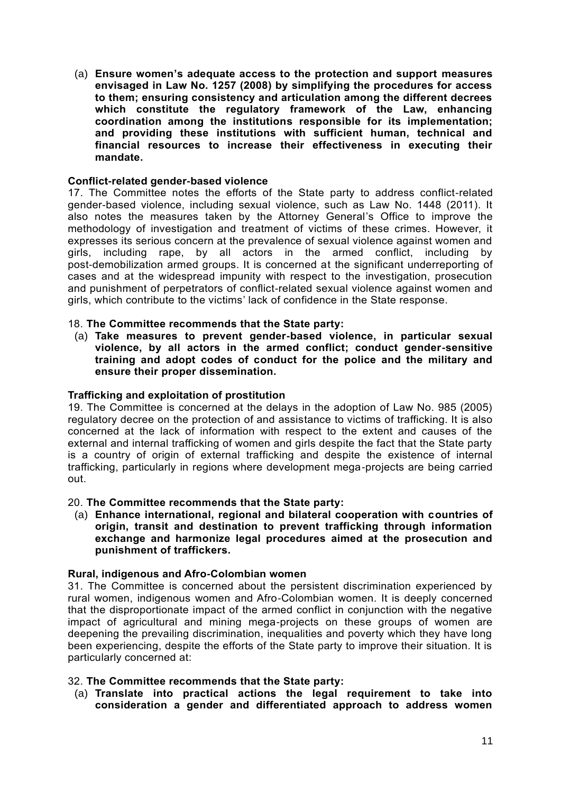(a) **Ensure women's adequate access to the protection and support measures envisaged in Law No. 1257 (2008) by simplifying the procedures for access to them; ensuring consistency and articulation among the different decrees which constitute the regulatory framework of the Law, enhancing coordination among the institutions responsible for its implementation; and providing these institutions with sufficient human, technical and financial resources to increase their effectiveness in executing their mandate.**

### **Conflict-related gender-based violence**

17. The Committee notes the efforts of the State party to address conflict-related gender-based violence, including sexual violence, such as Law No. 1448 (2011). It also notes the measures taken by the Attorney General's Office to improve the methodology of investigation and treatment of victims of these crimes. However, it expresses its serious concern at the prevalence of sexual violence against women and girls, including rape, by all actors in the armed conflict, including by post-demobilization armed groups. It is concerned at the significant underreporting of cases and at the widespread impunity with respect to the investigation, prosecution and punishment of perpetrators of conflict-related sexual violence against women and girls, which contribute to the victims' lack of confidence in the State response.

### 18. **The Committee recommends that the State party:**

(a) **Take measures to prevent gender-based violence, in particular sexual violence, by all actors in the armed conflict; conduct gender-sensitive training and adopt codes of conduct for the police and the military and ensure their proper dissemination.**

#### **Trafficking and exploitation of prostitution**

19. The Committee is concerned at the delays in the adoption of Law No. 985 (2005) regulatory decree on the protection of and assistance to victims of trafficking. It is also concerned at the lack of information with respect to the extent and causes of the external and internal trafficking of women and girls despite the fact that the State party is a country of origin of external trafficking and despite the existence of internal trafficking, particularly in regions where development mega-projects are being carried out.

#### 20. **The Committee recommends that the State party:**

(a) **Enhance international, regional and bilateral cooperation with countries of origin, transit and destination to prevent trafficking through information exchange and harmonize legal procedures aimed at the prosecution and punishment of traffickers.** 

#### **Rural, indigenous and Afro-Colombian women**

31. The Committee is concerned about the persistent discrimination experienced by rural women, indigenous women and Afro-Colombian women. It is deeply concerned that the disproportionate impact of the armed conflict in conjunction with the negative impact of agricultural and mining mega-projects on these groups of women are deepening the prevailing discrimination, inequalities and poverty which they have long been experiencing, despite the efforts of the State party to improve their situation. It is particularly concerned at:

#### 32. **The Committee recommends that the State party:**

(a) **Translate into practical actions the legal requirement to take into consideration a gender and differentiated approach to address women**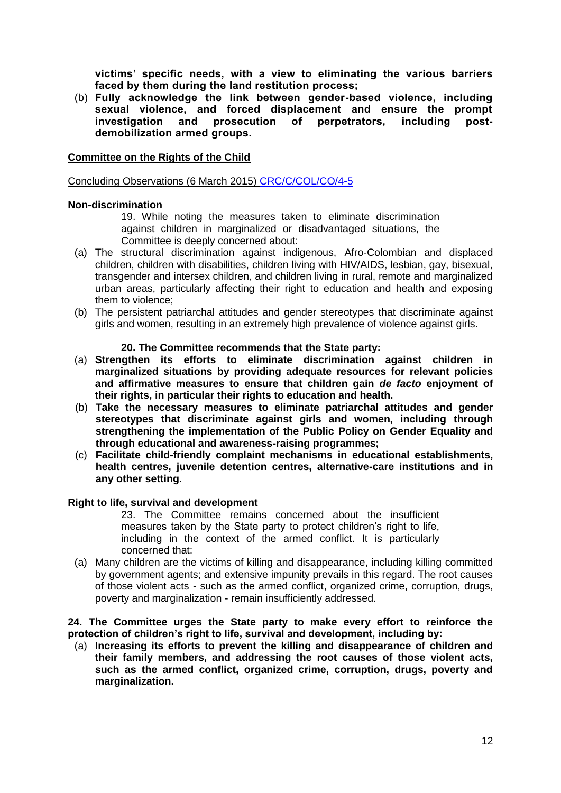**victims' specific needs, with a view to eliminating the various barriers faced by them during the land restitution process;** 

(b) **Fully acknowledge the link between gender-based violence, including sexual violence, and forced displacement and ensure the prompt investigation and prosecution of perpetrators, including postdemobilization armed groups.** 

### **Committee on the Rights of the Child**

Concluding Observations (6 March 2015) [CRC/C/COL/CO/4-5](http://tbinternet.ohchr.org/_layouts/treatybodyexternal/Download.aspx?symbolno=CRC%2fC%2fCOL%2fCO%2f4-5&Lang=en)

#### **Non-discrimination**

19. While noting the measures taken to eliminate discrimination against children in marginalized or disadvantaged situations, the Committee is deeply concerned about:

- (a) The structural discrimination against indigenous, Afro-Colombian and displaced children, children with disabilities, children living with HIV/AIDS, lesbian, gay, bisexual, transgender and intersex children, and children living in rural, remote and marginalized urban areas, particularly affecting their right to education and health and exposing them to violence;
- (b) The persistent patriarchal attitudes and gender stereotypes that discriminate against girls and women, resulting in an extremely high prevalence of violence against girls.

#### **20. The Committee recommends that the State party:**

- (a) **Strengthen its efforts to eliminate discrimination against children in marginalized situations by providing adequate resources for relevant policies and affirmative measures to ensure that children gain** *de facto* **enjoyment of their rights, in particular their rights to education and health.**
- (b) **Take the necessary measures to eliminate patriarchal attitudes and gender stereotypes that discriminate against girls and women, including through strengthening the implementation of the Public Policy on Gender Equality and through educational and awareness-raising programmes;**
- (c) **Facilitate child-friendly complaint mechanisms in educational establishments, health centres, juvenile detention centres, alternative-care institutions and in any other setting.**

#### **Right to life, survival and development**

23. The Committee remains concerned about the insufficient measures taken by the State party to protect children's right to life, including in the context of the armed conflict. It is particularly concerned that:

(a) Many children are the victims of killing and disappearance, including killing committed by government agents; and extensive impunity prevails in this regard. The root causes of those violent acts - such as the armed conflict, organized crime, corruption, drugs, poverty and marginalization - remain insufficiently addressed.

**24. The Committee urges the State party to make every effort to reinforce the protection of children's right to life, survival and development, including by:** 

(a) **Increasing its efforts to prevent the killing and disappearance of children and their family members, and addressing the root causes of those violent acts, such as the armed conflict, organized crime, corruption, drugs, poverty and marginalization.**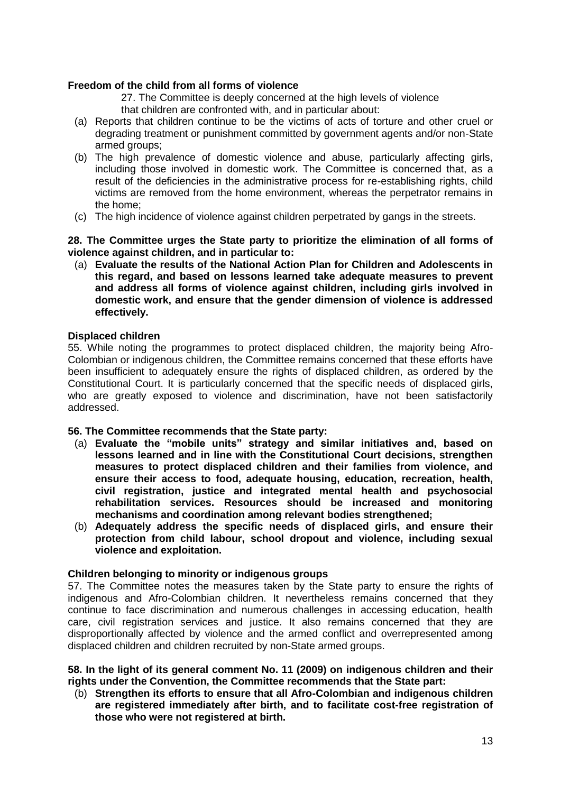# **Freedom of the child from all forms of violence**

27. The Committee is deeply concerned at the high levels of violence that children are confronted with, and in particular about:

- (a) Reports that children continue to be the victims of acts of torture and other cruel or degrading treatment or punishment committed by government agents and/or non-State armed groups;
- (b) The high prevalence of domestic violence and abuse, particularly affecting girls, including those involved in domestic work. The Committee is concerned that, as a result of the deficiencies in the administrative process for re-establishing rights, child victims are removed from the home environment, whereas the perpetrator remains in the home;
- (c) The high incidence of violence against children perpetrated by gangs in the streets.

**28. The Committee urges the State party to prioritize the elimination of all forms of violence against children, and in particular to:**

(a) **Evaluate the results of the National Action Plan for Children and Adolescents in this regard, and based on lessons learned take adequate measures to prevent and address all forms of violence against children, including girls involved in domestic work, and ensure that the gender dimension of violence is addressed effectively.**

### **Displaced children**

55. While noting the programmes to protect displaced children, the majority being Afro-Colombian or indigenous children, the Committee remains concerned that these efforts have been insufficient to adequately ensure the rights of displaced children, as ordered by the Constitutional Court. It is particularly concerned that the specific needs of displaced girls, who are greatly exposed to violence and discrimination, have not been satisfactorily addressed.

# **56. The Committee recommends that the State party:**

- (a) **Evaluate the "mobile units" strategy and similar initiatives and, based on lessons learned and in line with the Constitutional Court decisions, strengthen measures to protect displaced children and their families from violence, and ensure their access to food, adequate housing, education, recreation, health, civil registration, justice and integrated mental health and psychosocial rehabilitation services. Resources should be increased and monitoring mechanisms and coordination among relevant bodies strengthened;**
- (b) **Adequately address the specific needs of displaced girls, and ensure their protection from child labour, school dropout and violence, including sexual violence and exploitation.**

#### **Children belonging to minority or indigenous groups**

57. The Committee notes the measures taken by the State party to ensure the rights of indigenous and Afro-Colombian children. It nevertheless remains concerned that they continue to face discrimination and numerous challenges in accessing education, health care, civil registration services and justice. It also remains concerned that they are disproportionally affected by violence and the armed conflict and overrepresented among displaced children and children recruited by non-State armed groups.

### **58. In the light of its general comment No. 11 (2009) on indigenous children and their rights under the Convention, the Committee recommends that the State part:**

(b) **Strengthen its efforts to ensure that all Afro-Colombian and indigenous children are registered immediately after birth, and to facilitate cost-free registration of those who were not registered at birth.**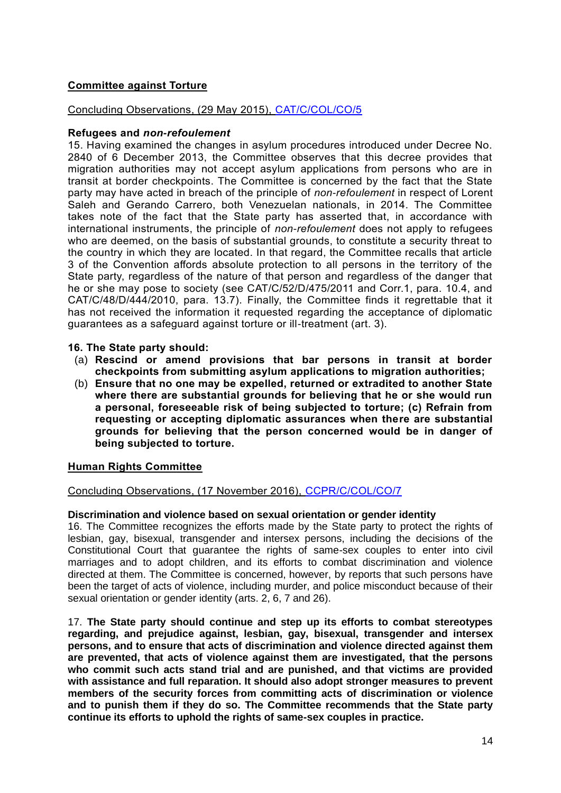# **Committee against Torture**

# Concluding Observations, (29 May 2015), [CAT/C/COL/CO/5](http://tbinternet.ohchr.org/_layouts/treatybodyexternal/Download.aspx?symbolno=CAT%2fC%2fCOL%2fCO%2f5&Lang=en)

# **Refugees and** *non-refoulement*

15. Having examined the changes in asylum procedures introduced under Decree No. 2840 of 6 December 2013, the Committee observes that this decree provides that migration authorities may not accept asylum applications from persons who are in transit at border checkpoints. The Committee is concerned by the fact that the State party may have acted in breach of the principle of *non-refoulement* in respect of Lorent Saleh and Gerando Carrero, both Venezuelan nationals, in 2014. The Committee takes note of the fact that the State party has asserted that, in accordance with international instruments, the principle of *non-refoulement* does not apply to refugees who are deemed, on the basis of substantial grounds, to constitute a security threat to the country in which they are located. In that regard, the Committee recalls that article 3 of the Convention affords absolute protection to all persons in the territory of the State party, regardless of the nature of that person and regardless of the danger that he or she may pose to society (see CAT/C/52/D/475/2011 and Corr.1, para. 10.4, and CAT/C/48/D/444/2010, para. 13.7). Finally, the Committee finds it regrettable that it has not received the information it requested regarding the acceptance of diplomatic guarantees as a safeguard against torture or ill-treatment (art. 3).

# **16. The State party should:**

- (a) **Rescind or amend provisions that bar persons in transit at border checkpoints from submitting asylum applications to migration authorities;**
- (b) **Ensure that no one may be expelled, returned or extradited to another State where there are substantial grounds for believing that he or she would run a personal, foreseeable risk of being subjected to torture; (c) Refrain from requesting or accepting diplomatic assurances when there are substantial grounds for believing that the person concerned would be in danger of being subjected to torture.**

# **Human Rights Committee**

# Concluding Observations, (17 November 2016), [CCPR/C/COL/CO/7](http://tbinternet.ohchr.org/_layouts/treatybodyexternal/Download.aspx?symbolno=CCPR%2fC%2fCOL%2fCO%2f7&Lang=en)

# **Discrimination and violence based on sexual orientation or gender identity**

16. The Committee recognizes the efforts made by the State party to protect the rights of lesbian, gay, bisexual, transgender and intersex persons, including the decisions of the Constitutional Court that guarantee the rights of same-sex couples to enter into civil marriages and to adopt children, and its efforts to combat discrimination and violence directed at them. The Committee is concerned, however, by reports that such persons have been the target of acts of violence, including murder, and police misconduct because of their sexual orientation or gender identity (arts. 2, 6, 7 and 26).

17. **The State party should continue and step up its efforts to combat stereotypes regarding, and prejudice against, lesbian, gay, bisexual, transgender and intersex persons, and to ensure that acts of discrimination and violence directed against them are prevented, that acts of violence against them are investigated, that the persons who commit such acts stand trial and are punished, and that victims are provided with assistance and full reparation. It should also adopt stronger measures to prevent members of the security forces from committing acts of discrimination or violence and to punish them if they do so. The Committee recommends that the State party continue its efforts to uphold the rights of same-sex couples in practice.**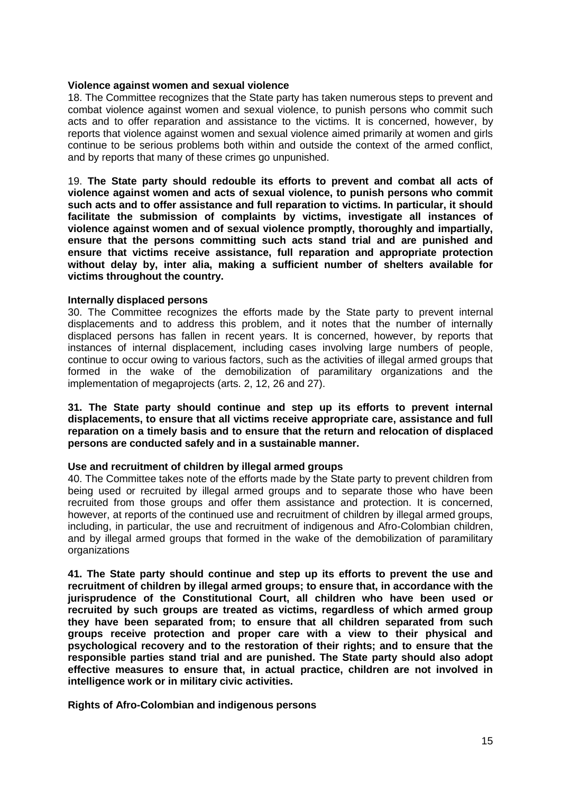### **Violence against women and sexual violence**

18. The Committee recognizes that the State party has taken numerous steps to prevent and combat violence against women and sexual violence, to punish persons who commit such acts and to offer reparation and assistance to the victims. It is concerned, however, by reports that violence against women and sexual violence aimed primarily at women and girls continue to be serious problems both within and outside the context of the armed conflict, and by reports that many of these crimes go unpunished.

19. **The State party should redouble its efforts to prevent and combat all acts of violence against women and acts of sexual violence, to punish persons who commit such acts and to offer assistance and full reparation to victims. In particular, it should facilitate the submission of complaints by victims, investigate all instances of violence against women and of sexual violence promptly, thoroughly and impartially, ensure that the persons committing such acts stand trial and are punished and ensure that victims receive assistance, full reparation and appropriate protection without delay by, inter alia, making a sufficient number of shelters available for victims throughout the country.**

### **Internally displaced persons**

30. The Committee recognizes the efforts made by the State party to prevent internal displacements and to address this problem, and it notes that the number of internally displaced persons has fallen in recent years. It is concerned, however, by reports that instances of internal displacement, including cases involving large numbers of people, continue to occur owing to various factors, such as the activities of illegal armed groups that formed in the wake of the demobilization of paramilitary organizations and the implementation of megaprojects (arts. 2, 12, 26 and 27).

**31. The State party should continue and step up its efforts to prevent internal displacements, to ensure that all victims receive appropriate care, assistance and full reparation on a timely basis and to ensure that the return and relocation of displaced persons are conducted safely and in a sustainable manner.**

# **Use and recruitment of children by illegal armed groups**

40. The Committee takes note of the efforts made by the State party to prevent children from being used or recruited by illegal armed groups and to separate those who have been recruited from those groups and offer them assistance and protection. It is concerned, however, at reports of the continued use and recruitment of children by illegal armed groups, including, in particular, the use and recruitment of indigenous and Afro-Colombian children, and by illegal armed groups that formed in the wake of the demobilization of paramilitary organizations

**41. The State party should continue and step up its efforts to prevent the use and recruitment of children by illegal armed groups; to ensure that, in accordance with the jurisprudence of the Constitutional Court, all children who have been used or recruited by such groups are treated as victims, regardless of which armed group they have been separated from; to ensure that all children separated from such groups receive protection and proper care with a view to their physical and psychological recovery and to the restoration of their rights; and to ensure that the responsible parties stand trial and are punished. The State party should also adopt effective measures to ensure that, in actual practice, children are not involved in intelligence work or in military civic activities.**

# **Rights of Afro-Colombian and indigenous persons**